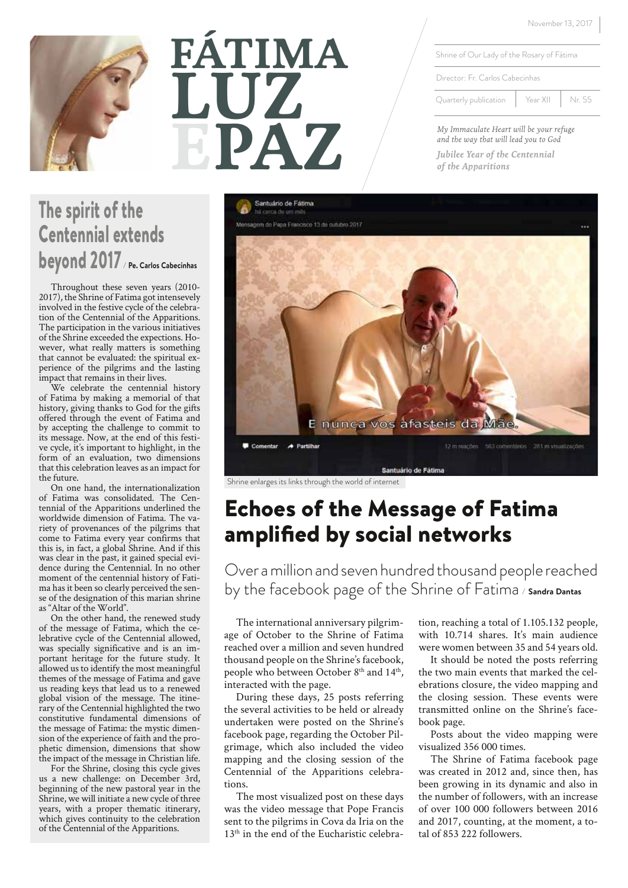November 13, 2017

Shrine of Our Lady of the Rosary of Fátima

Director: Fr. Carlos Cabecinhas

Quarterly publication | Year XII | Nr. 55

*My Immaculate Heart will be your refuge and the way that will lead you to God*

*Jubilee Year of the Centennial of the Apparitions*



# **EPAZ FÁTIMA LUZ**

# The spirit of the Centennial extends beyond 2017*/* **Pe. Carlos Cabecinhas**

Throughout these seven years (2010- 2017), the Shrine of Fatima got intensevely involved in the festive cycle of the celebration of the Centennial of the Apparitions. The participation in the various initiatives of the Shrine exceeded the expections. However, what really matters is something that cannot be evaluated: the spiritual experience of the pilgrims and the lasting impact that remains in their lives.

We celebrate the centennial history of Fatima by making a memorial of that history, giving thanks to God for the gifts offered through the event of Fatima and by accepting the challenge to commit to its message. Now, at the end of this festive cycle, it's important to highlight, in the form of an evaluation, two dimensions that this celebration leaves as an impact for the future.

On one hand, the internationalization of Fatima was consolidated. The Centennial of the Apparitions underlined the worldwide dimension of Fatima. The variety of provenances of the pilgrims that come to Fatima every year confirms that this is, in fact, a global Shrine. And if this was clear in the past, it gained special evi- dence during the Centennial. In no other moment of the centennial history of Fatima has it been so clearly perceived the sense of the designation of this marian shrine as "Altar of the World".

On the other hand, the renewed study of the message of Fatima, which the celebrative cycle of the Centennial allowed, was specially significative and is an important heritage for the future study. It allowed us to identify the most meaningful themes of the message of Fatima and gave us reading keys that lead us to a renewed global vision of the message. The itinerary of the Centennial highlighted the two constitutive fundamental dimensions of the message of Fatima: the mystic dimension of the experience of faith and the prophetic dimension, dimensions that show the impact of the message in Christian life.

For the Shrine, closing this cycle gives us a new challenge: on December 3rd, beginning of the new pastoral year in the Shrine, we will initiate a new cycle of three years, with a proper thematic itinerary, which gives continuity to the celebration of the Centennial of the Apparitions.



Shrine enlarges its links through the world of internet

# Echoes of the Message of Fatima amplified by social networks

Over a million and seven hundred thousand people reached by the facebook page of the Shrine of Fatima */* **Sandra Dantas**

The international anniversary pilgrimage of October to the Shrine of Fatima reached over a million and seven hundred thousand people on the Shrine's facebook, people who between October 8<sup>th</sup> and 14<sup>th</sup>, interacted with the page.

During these days, 25 posts referring the several activities to be held or already undertaken were posted on the Shrine's facebook page, regarding the October Pilgrimage, which also included the video mapping and the closing session of the Centennial of the Apparitions celebrations.

The most visualized post on these days was the video message that Pope Francis sent to the pilgrims in Cova da Iria on the 13<sup>th</sup> in the end of the Eucharistic celebration, reaching a total of 1.105.132 people, with 10.714 shares. It's main audience were women between 35 and 54 years old.

It should be noted the posts referring the two main events that marked the celebrations closure, the video mapping and the closing session. These events were transmitted online on the Shrine's facebook page.

Posts about the video mapping were visualized 356 000 times.

The Shrine of Fatima facebook page was created in 2012 and, since then, has been growing in its dynamic and also in the number of followers, with an increase of over 100 000 followers between 2016 and 2017, counting, at the moment, a total of 853 222 followers.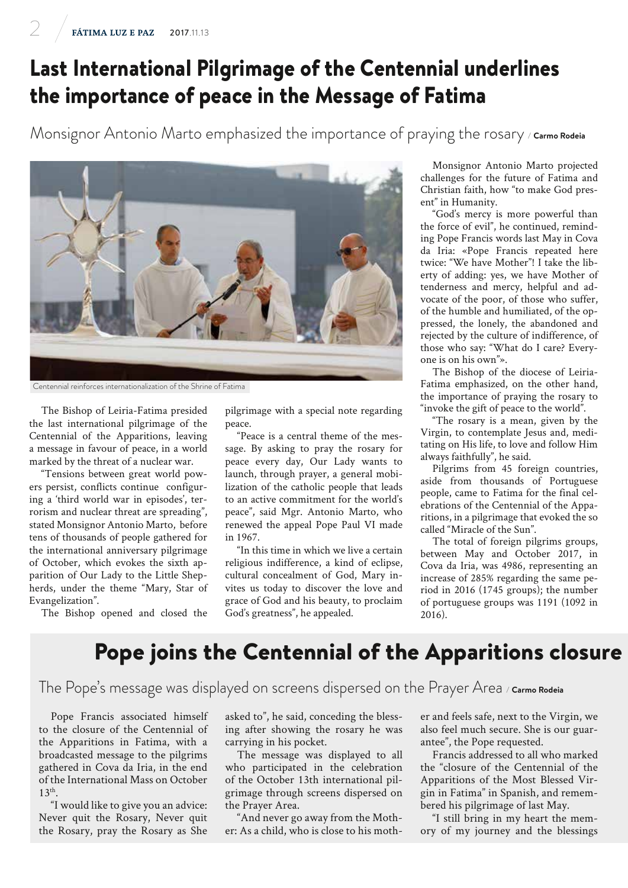# Last International Pilgrimage of the Centennial underlines the importance of peace in the Message of Fatima

Monsignor Antonio Marto emphasized the importance of praying the rosary */* **Carmo Rodeia**



The Bishop of Leiria-Fatima presided the last international pilgrimage of the Centennial of the Apparitions, leaving a message in favour of peace, in a world marked by the threat of a nuclear war.

"Tensions between great world powers persist, conflicts continue configuring a 'third world war in episodes', terrorism and nuclear threat are spreading", stated Monsignor Antonio Marto, before tens of thousands of people gathered for the international anniversary pilgrimage of October, which evokes the sixth apparition of Our Lady to the Little Shepherds, under the theme "Mary, Star of Evangelization".

The Bishop opened and closed the

pilgrimage with a special note regarding peace.

"Peace is a central theme of the message. By asking to pray the rosary for peace every day, Our Lady wants to launch, through prayer, a general mobilization of the catholic people that leads to an active commitment for the world's peace", said Mgr. Antonio Marto, who renewed the appeal Pope Paul VI made in 1967.

"In this time in which we live a certain religious indifference, a kind of eclipse, cultural concealment of God, Mary invites us today to discover the love and grace of God and his beauty, to proclaim God's greatness", he appealed.

Monsignor Antonio Marto projected challenges for the future of Fatima and Christian faith, how "to make God present" in Humanity.

"God's mercy is more powerful than the force of evil", he continued, reminding Pope Francis words last May in Cova da Iria: «Pope Francis repeated here twice: "We have Mother"! I take the liberty of adding: yes, we have Mother of tenderness and mercy, helpful and advocate of the poor, of those who suffer, of the humble and humiliated, of the oppressed, the lonely, the abandoned and rejected by the culture of indifference, of those who say: "What do I care? Everyone is on his own"».

The Bishop of the diocese of Leiria-Fatima emphasized, on the other hand, the importance of praying the rosary to "invoke the gift of peace to the world".

"The rosary is a mean, given by the Virgin, to contemplate Jesus and, meditating on His life, to love and follow Him always faithfully", he said.

Pilgrims from 45 foreign countries, aside from thousands of Portuguese people, came to Fatima for the final celebrations of the Centennial of the Apparitions, in a pilgrimage that evoked the so called "Miracle of the Sun".

The total of foreign pilgrims groups, between May and October 2017, in Cova da Iria, was 4986, representing an increase of 285% regarding the same period in 2016 (1745 groups); the number of portuguese groups was 1191 (1092 in 2016).

#### Pope joins the Centennial of the Apparitions closure

#### The Pope's message was displayed on screens dispersed on the Prayer Area */* **Carmo Rodeia**

Pope Francis associated himself to the closure of the Centennial of the Apparitions in Fatima, with a broadcasted message to the pilgrims gathered in Cova da Iria, in the end of the International Mass on October 13th.

"I would like to give you an advice: Never quit the Rosary, Never quit the Rosary, pray the Rosary as She

asked to", he said, conceding the blessing after showing the rosary he was carrying in his pocket.

The message was displayed to all who participated in the celebration of the October 13th international pilgrimage through screens dispersed on the Prayer Area.

"And never go away from the Mother: As a child, who is close to his mother and feels safe, next to the Virgin, we also feel much secure. She is our guarantee", the Pope requested.

Francis addressed to all who marked the "closure of the Centennial of the Apparitions of the Most Blessed Virgin in Fatima" in Spanish, and remembered his pilgrimage of last May.

"I still bring in my heart the memory of my journey and the blessings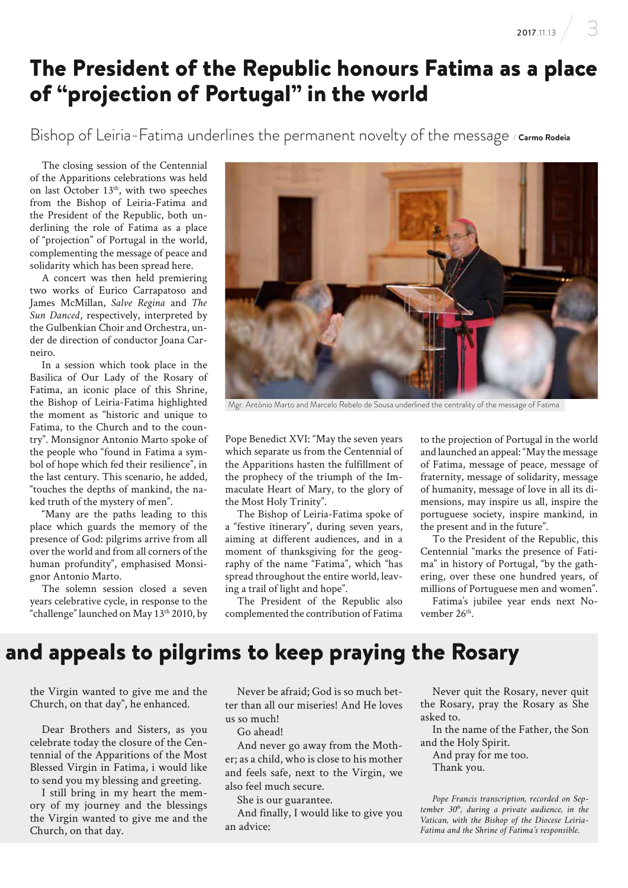# The President of the Republic honours Fatima as a place of "projection of Portugal" in the world

Bishop of Leiria-Fatima underlines the permanent novelty of the message */* **Carmo Rodeia**

The closing session of the Centennial of the Apparitions celebrations was held on last October  $13<sup>th</sup>$ , with two speeches from the Bishop of Leiria-Fatima and the President of the Republic, both underlining the role of Fatima as a place of "projection" of Portugal in the world, complementing the message of peace and solidarity which has been spread here.

A concert was then held premiering two works of Eurico Carrapatoso and James McMillan, *Salve Regina* and *The Sun Danced*, respectively, interpreted by the Gulbenkian Choir and Orchestra, under de direction of conductor Joana Carneiro.

In a session which took place in the Basilica of Our Lady of the Rosary of Fatima, an iconic place of this Shrine, the Bishop of Leiria-Fatima highlighted the moment as "historic and unique to Fatima, to the Church and to the country". Monsignor Antonio Marto spoke of the people who "found in Fatima a symbol of hope which fed their resilience", in the last century. This scenario, he added, "touches the depths of mankind, the naked truth of the mystery of men".

"Many are the paths leading to this place which guards the memory of the presence of God: pilgrims arrive from all over the world and from all corners of the human profundity", emphasised Monsignor Antonio Marto.

The solemn session closed a seven years celebrative cycle, in response to the "challenge" launched on May 13th 2010, by



Mgr. António Marto and Marcelo Rebelo de Sousa underlined the centrality of the message of Fatima

Pope Benedict XVI: "May the seven years which separate us from the Centennial of the Apparitions hasten the fulfillment of the prophecy of the triumph of the Immaculate Heart of Mary, to the glory of the Most Holy Trinity".

The Bishop of Leiria-Fatima spoke of a "festive itinerary", during seven years, aiming at different audiences, and in a moment of thanksgiving for the geography of the name "Fatima", which "has spread throughout the entire world, leaving a trail of light and hope".

The President of the Republic also complemented the contribution of Fatima

to the projection of Portugal in the world and launched an appeal: "May the message of Fatima, message of peace, message of fraternity, message of solidarity, message of humanity, message of love in all its dimensions, may inspire us all, inspire the portuguese society, inspire mankind, in the present and in the future".

To the President of the Republic, this Centennial "marks the presence of Fatima" in history of Portugal, "by the gathering, over these one hundred years, of millions of Portuguese men and women".

Fatima's jubilee year ends next November 26<sup>th</sup>.

#### and appeals to pilgrims to keep praying the Rosary

the Virgin wanted to give me and the Church, on that day", he enhanced.

Dear Brothers and Sisters, as you celebrate today the closure of the Centennial of the Apparitions of the Most Blessed Virgin in Fatima, i would like to send you my blessing and greeting.

I still bring in my heart the memory of my journey and the blessings the Virgin wanted to give me and the Church, on that day.

Never be afraid; God is so much better than all our miseries! And He loves us so much!

Go ahead!

And never go away from the Mother; as a child, who is close to his mother and feels safe, next to the Virgin, we also feel much secure.

She is our guarantee.

And finally, I would like to give you an advice:

Never quit the Rosary, never quit the Rosary, pray the Rosary as She asked to.

In the name of the Father, the Son and the Holy Spirit.

And pray for me too. Thank you.

*Pope Francis transcription, recorded on Sep*tember 30<sup>th</sup>, during a private audience, in the *Vatican, with the Bishop of the Diocese Leiria-Fatima and the Shrine of Fatima's responsible.*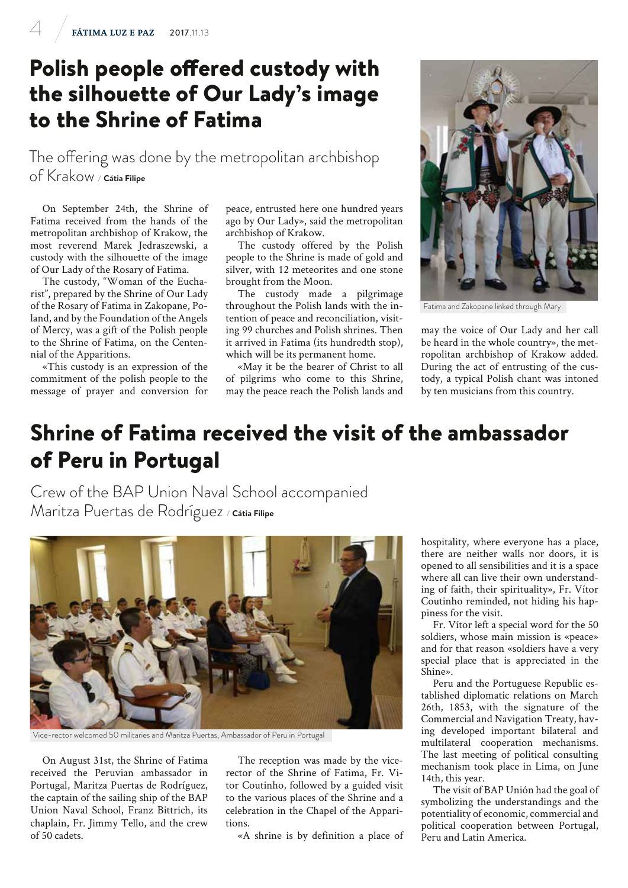# Polish people offered custody with the silhouette of Our Lady's image to the Shrine of Fatima

The offering was done by the metropolitan archbishop of Krakow */* **Cátia Filipe**

On September 24th, the Shrine of Fatima received from the hands of the metropolitan archbishop of Krakow, the most reverend Marek Jedraszewski, a custody with the silhouette of the image of Our Lady of the Rosary of Fatima.

The custody, "Woman of the Eucharist", prepared by the Shrine of Our Lady of the Rosary of Fatima in Zakopane, Poland, and by the Foundation of the Angels of Mercy, was a gift of the Polish people to the Shrine of Fatima, on the Centennial of the Apparitions.

«This custody is an expression of the commitment of the polish people to the message of prayer and conversion for

peace, entrusted here one hundred years ago by Our Lady», said the metropolitan archbishop of Krakow.

The custody offered by the Polish people to the Shrine is made of gold and silver, with 12 meteorites and one stone brought from the Moon.

The custody made a pilgrimage throughout the Polish lands with the intention of peace and reconciliation, visiting 99 churches and Polish shrines. Then it arrived in Fatima (its hundredth stop), which will be its permanent home.

«May it be the bearer of Christ to all of pilgrims who come to this Shrine, may the peace reach the Polish lands and



Fatima and Zakopane linked through Mary

may the voice of Our Lady and her call be heard in the whole country», the metropolitan archbishop of Krakow added. During the act of entrusting of the custody, a typical Polish chant was intoned by ten musicians from this country.

# Shrine of Fatima received the visit of the ambassador of Peru in Portugal

Crew of the BAP Union Naval School accompanied Maritza Puertas de Rodríguez */* **Cátia Filipe**



Vice-rector welcomed 50 militaries and Maritza Puertas, Ambassador of Peru in Portugal

On August 31st, the Shrine of Fatima received the Peruvian ambassador in Portugal, Maritza Puertas de Rodríguez, the captain of the sailing ship of the BAP Union Naval School, Franz Bittrich, its chaplain, Fr. Jimmy Tello, and the crew of 50 cadets.

The reception was made by the vicerector of the Shrine of Fatima, Fr. Vitor Coutinho, followed by a guided visit to the various places of the Shrine and a celebration in the Chapel of the Apparitions.

«A shrine is by definition a place of

hospitality, where everyone has a place, there are neither walls nor doors, it is opened to all sensibilities and it is a space where all can live their own understanding of faith, their spirituality», Fr. Vítor Coutinho reminded, not hiding his happiness for the visit.

Fr. Vítor left a special word for the 50 soldiers, whose main mission is «peace» and for that reason «soldiers have a very special place that is appreciated in the Shine».

Peru and the Portuguese Republic established diplomatic relations on March 26th, 1853, with the signature of the Commercial and Navigation Treaty, having developed important bilateral and multilateral cooperation mechanisms. The last meeting of political consulting mechanism took place in Lima, on June 14th, this year.

The visit of BAP Unión had the goal of symbolizing the understandings and the potentiality of economic, commercial and political cooperation between Portugal, Peru and Latin America.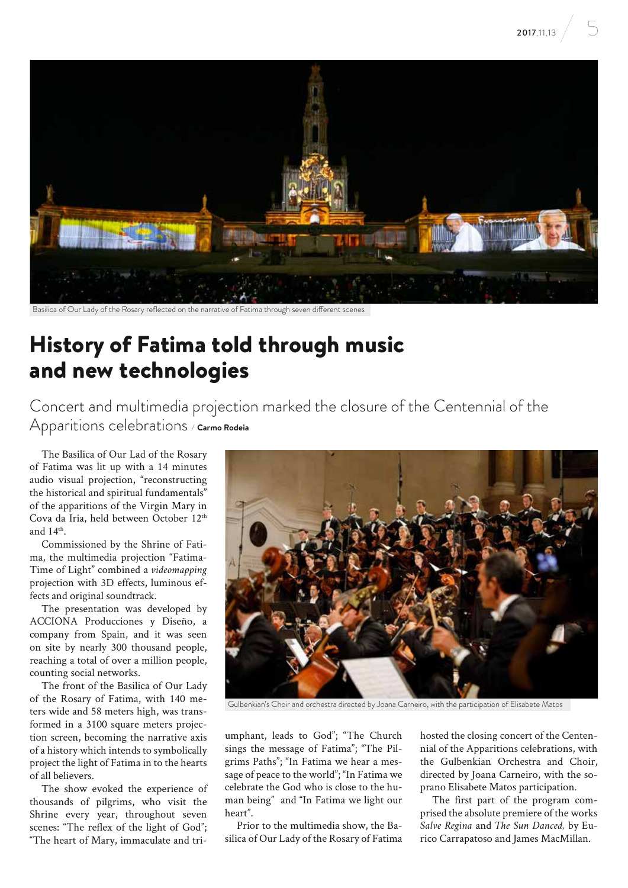

Basilica of Our Lady of the Rosary reflected on the narrative of Fatima through seven different scenes

# History of Fatima told through music and new technologies

Concert and multimedia projection marked the closure of the Centennial of the Apparitions celebrations */* **Carmo Rodeia**

The Basilica of Our Lad of the Rosary of Fatima was lit up with a 14 minutes audio visual projection, "reconstructing the historical and spiritual fundamentals" of the apparitions of the Virgin Mary in Cova da Iria, held between October 12th and  $14<sup>th</sup>$ .

Commissioned by the Shrine of Fatima, the multimedia projection "Fatima-Time of Light" combined a *videomapping* projection with 3D effects, luminous effects and original soundtrack.

The presentation was developed by ACCIONA Producciones y Diseño, a company from Spain, and it was seen on site by nearly 300 thousand people, reaching a total of over a million people, counting social networks.

The front of the Basilica of Our Lady of the Rosary of Fatima, with 140 meters wide and 58 meters high, was transformed in a 3100 square meters projection screen, becoming the narrative axis of a history which intends to symbolically project the light of Fatima in to the hearts of all believers.

The show evoked the experience of thousands of pilgrims, who visit the Shrine every year, throughout seven scenes: "The reflex of the light of God"; "The heart of Mary, immaculate and tri-



Gulbenkian's Choir and orchestra directed by Joana Carneiro, with the participation of Elisabete Matos

umphant, leads to God"; "The Church sings the message of Fatima"; "The Pilgrims Paths"; "In Fatima we hear a message of peace to the world"; "In Fatima we celebrate the God who is close to the human being" and "In Fatima we light our heart".

Prior to the multimedia show, the Basilica of Our Lady of the Rosary of Fatima hosted the closing concert of the Centennial of the Apparitions celebrations, with the Gulbenkian Orchestra and Choir, directed by Joana Carneiro, with the soprano Elisabete Matos participation.

The first part of the program comprised the absolute premiere of the works *Salve Regina* and *The Sun Danced,* by Eurico Carrapatoso and James MacMillan.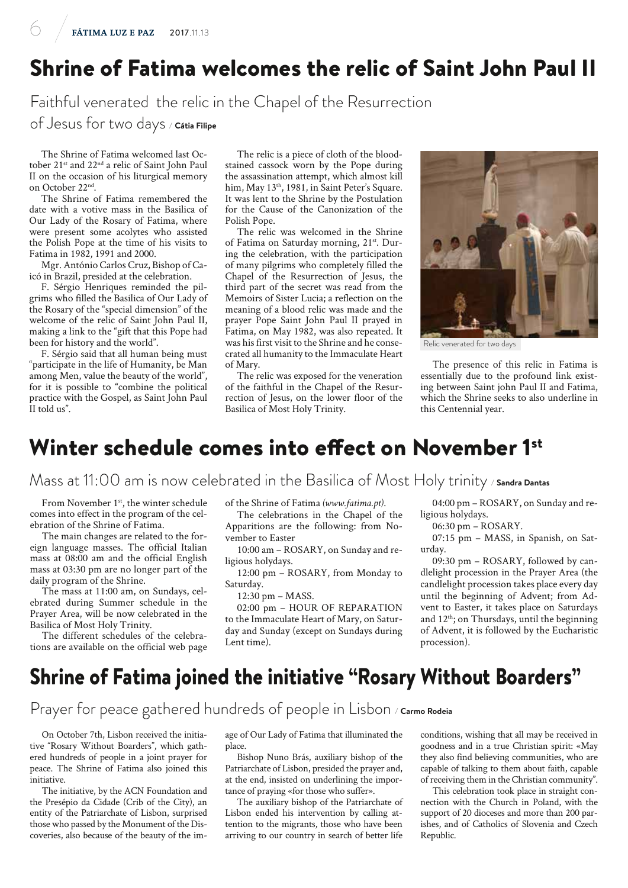# Shrine of Fatima welcomes the relic of Saint John Paul II

Faithful venerated the relic in the Chapel of the Resurrection

of Jesus for two days */* **Cátia Filipe**

The Shrine of Fatima welcomed last October 21<sup>st</sup> and 22<sup>nd</sup> a relic of Saint John Paul II on the occasion of his liturgical memory on October 22nd.

The Shrine of Fatima remembered the date with a votive mass in the Basilica of Our Lady of the Rosary of Fatima, where were present some acolytes who assisted the Polish Pope at the time of his visits to Fatima in 1982, 1991 and 2000.

Mgr. António Carlos Cruz, Bishop of Caicó in Brazil, presided at the celebration.

F. Sérgio Henriques reminded the pilgrims who filled the Basilica of Our Lady of the Rosary of the "special dimension" of the welcome of the relic of Saint John Paul II, making a link to the "gift that this Pope had been for history and the world".

F. Sérgio said that all human being must "participate in the life of Humanity, be Man among Men, value the beauty of the world", for it is possible to "combine the political practice with the Gospel, as Saint John Paul II told us".

The relic is a piece of cloth of the bloodstained cassock worn by the Pope during the assassination attempt, which almost kill him, May 13<sup>th</sup>, 1981, in Saint Peter's Square. It was lent to the Shrine by the Postulation for the Cause of the Canonization of the Polish Pope.

The relic was welcomed in the Shrine of Fatima on Saturday morning, 21<sup>st</sup>. During the celebration, with the participation of many pilgrims who completely filled the Chapel of the Resurrection of Jesus, the third part of the secret was read from the Memoirs of Sister Lucia; a reflection on the meaning of a blood relic was made and the prayer Pope Saint John Paul II prayed in Fatima, on May 1982, was also repeated. It was his first visit to the Shrine and he consecrated all humanity to the Immaculate Heart of Mary.

The relic was exposed for the veneration of the faithful in the Chapel of the Resurrection of Jesus, on the lower floor of the Basilica of Most Holy Trinity.



Relic venerated for two days

The presence of this relic in Fatima is essentially due to the profound link existing between Saint john Paul II and Fatima, which the Shrine seeks to also underline in this Centennial year.

#### Winter schedule comes into effect on November 1<sup>st</sup>

Mass at 11:00 am is now celebrated in the Basilica of Most Holy trinity */* **Sandra Dantas**

From November 1<sup>st</sup>, the winter schedule comes into effect in the program of the celebration of the Shrine of Fatima.

The main changes are related to the foreign language masses. The official Italian mass at 08:00 am and the official English mass at 03:30 pm are no longer part of the daily program of the Shrine.

The mass at 11:00 am, on Sundays, celebrated during Summer schedule in the Prayer Area, will be now celebrated in the Basilica of Most Holy Trinity.

The different schedules of the celebrations are available on the official web page of the Shrine of Fatima *(www.fatima.pt)*.

The celebrations in the Chapel of the Apparitions are the following: from November to Easter

10:00 am – ROSARY, on Sunday and religious holydays.

12:00 pm – ROSARY, from Monday to Saturday.

12:30 pm – MASS.

02:00 pm – HOUR OF REPARATION to the Immaculate Heart of Mary, on Saturday and Sunday (except on Sundays during Lent time).

04:00 pm – ROSARY, on Sunday and religious holydays.

06:30 pm – ROSARY.

07:15 pm – MASS, in Spanish, on Saturday.

09:30 pm – ROSARY, followed by candlelight procession in the Prayer Area (the candlelight procession takes place every day until the beginning of Advent; from Advent to Easter, it takes place on Saturdays and 12<sup>th</sup>; on Thursdays, until the beginning of Advent, it is followed by the Eucharistic procession).

#### Shrine of Fatima joined the initiative "Rosary Without Boarders"

Prayer for peace gathered hundreds of people in Lisbon / Carmo Rodeia

On October 7th, Lisbon received the initiative "Rosary Without Boarders", which gathered hundreds of people in a joint prayer for peace. The Shrine of Fatima also joined this initiative.

The initiative, by the ACN Foundation and the Presépio da Cidade (Crib of the City), an entity of the Patriarchate of Lisbon, surprised those who passed by the Monument of the Discoveries, also because of the beauty of the image of Our Lady of Fatima that illuminated the place.

Bishop Nuno Brás, auxiliary bishop of the Patriarchate of Lisbon, presided the prayer and, at the end, insisted on underlining the importance of praying «for those who suffer».

The auxiliary bishop of the Patriarchate of Lisbon ended his intervention by calling attention to the migrants, those who have been arriving to our country in search of better life

conditions, wishing that all may be received in goodness and in a true Christian spirit: «May they also find believing communities, who are capable of talking to them about faith, capable of receiving them in the Christian community".

This celebration took place in straight connection with the Church in Poland, with the support of 20 dioceses and more than 200 parishes, and of Catholics of Slovenia and Czech Republic.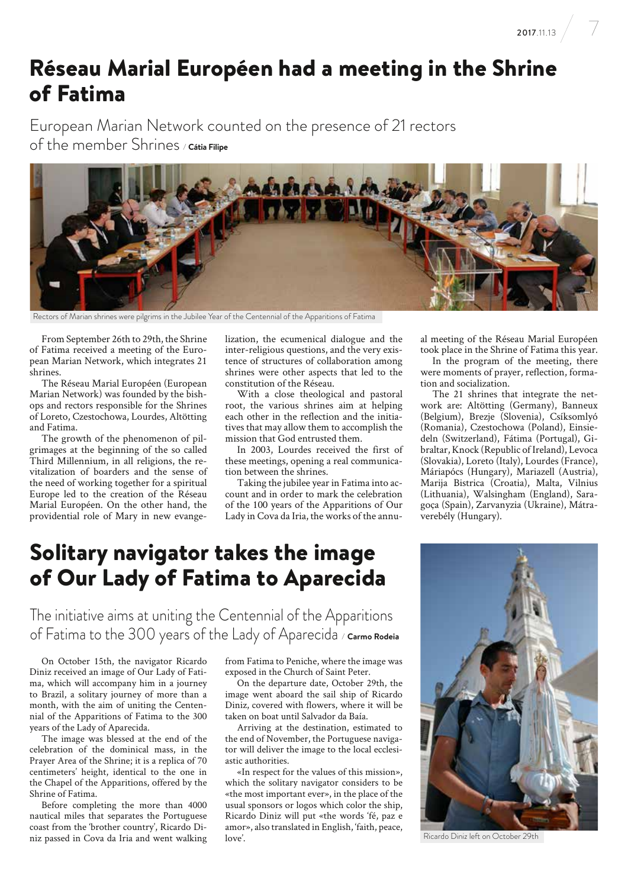**2017.**11.13  $\Big/$   $\Big/$ 

## Réseau Marial Européen had a meeting in the Shrine of Fatima

European Marian Network counted on the presence of 21 rectors of the member Shrines */* **Cátia Filipe**



Rectors of Marian shrines were pilgrims in the Jubilee Year of the Centennial of the Apparitions of Fatima

From September 26th to 29th, the Shrine of Fatima received a meeting of the European Marian Network, which integrates 21 shrines.

The Réseau Marial Européen (European Marian Network) was founded by the bishops and rectors responsible for the Shrines of Loreto, Czestochowa, Lourdes, Altötting and Fatima.

The growth of the phenomenon of pilgrimages at the beginning of the so called Third Millennium, in all religions, the revitalization of boarders and the sense of the need of working together for a spiritual Europe led to the creation of the Réseau Marial Européen. On the other hand, the providential role of Mary in new evangelization, the ecumenical dialogue and the inter-religious questions, and the very existence of structures of collaboration among shrines were other aspects that led to the constitution of the Réseau.

With a close theological and pastoral root, the various shrines aim at helping each other in the reflection and the initiatives that may allow them to accomplish the mission that God entrusted them.

In 2003, Lourdes received the first of these meetings, opening a real communication between the shrines.

Taking the jubilee year in Fatima into account and in order to mark the celebration of the 100 years of the Apparitions of Our Lady in Cova da Iria, the works of the annu-

#### Solitary navigator takes the image of Our Lady of Fatima to Aparecida

The initiative aims at uniting the Centennial of the Apparitions of Fatima to the 300 years of the Lady of Aparecida */* **Carmo Rodeia**

On October 15th, the navigator Ricardo Diniz received an image of Our Lady of Fatima, which will accompany him in a journey to Brazil, a solitary journey of more than a month, with the aim of uniting the Centennial of the Apparitions of Fatima to the 300 years of the Lady of Aparecida.

The image was blessed at the end of the celebration of the dominical mass, in the Prayer Area of the Shrine; it is a replica of 70 centimeters' height, identical to the one in the Chapel of the Apparitions, offered by the Shrine of Fatima.

Before completing the more than 4000 nautical miles that separates the Portuguese coast from the 'brother country', Ricardo Diniz passed in Cova da Iria and went walking from Fatima to Peniche, where the image was exposed in the Church of Saint Peter.

On the departure date, October 29th, the image went aboard the sail ship of Ricardo Diniz, covered with flowers, where it will be taken on boat until Salvador da Baía.

Arriving at the destination, estimated to the end of November, the Portuguese navigator will deliver the image to the local ecclesiastic authorities.

«In respect for the values of this mission», which the solitary navigator considers to be «the most important ever», in the place of the usual sponsors or logos which color the ship, Ricardo Diniz will put «the words 'fé, paz e amor», also translated in English, 'faith, peace, love'.

al meeting of the Réseau Marial Européen took place in the Shrine of Fatima this year.

In the program of the meeting, there were moments of prayer, reflection, formation and socialization.

The 21 shrines that integrate the network are: Altötting (Germany), Banneux (Belgium), Brezje (Slovenia), Csíksomlyó (Romania), Czestochowa (Poland), Einsiedeln (Switzerland), Fátima (Portugal), Gibraltar, Knock (Republic of Ireland), Levoca (Slovakia), Loreto (Italy), Lourdes (France), Máriapócs (Hungary), Mariazell (Austria), Marija Bistrica (Croatia), Malta, Vilnius (Lithuania), Walsingham (England), Saragoça (Spain), Zarvanyzia (Ukraine), Mátraverebély (Hungary).

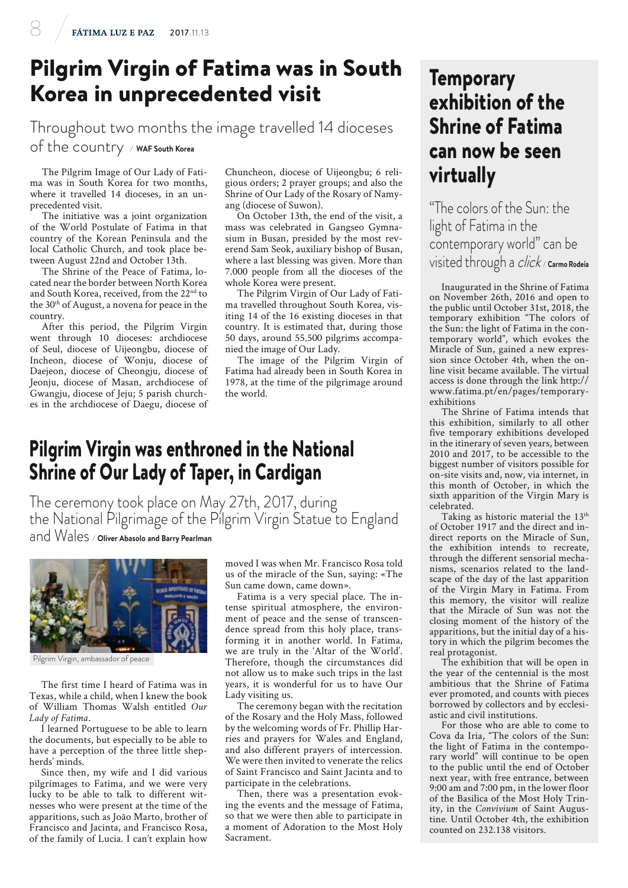# Pilgrim Virgin of Fatima was in South Korea in unprecedented visit

Throughout two months the image travelled 14 dioceses of the country */* **WAF South Korea**

The Pilgrim Image of Our Lady of Fatima was in South Korea for two months, where it travelled 14 dioceses, in an unprecedented visit.

The initiative was a joint organization of the World Postulate of Fatima in that country of the Korean Peninsula and the local Catholic Church, and took place between August 22nd and October 13th.

The Shrine of the Peace of Fatima, located near the border between North Korea and South Korea, received, from the 22<sup>nd</sup> to the 30<sup>th</sup> of August, a novena for peace in the country.

After this period, the Pilgrim Virgin went through 10 dioceses: archdiocese of Seul, diocese of Uijeongbu, diocese of Incheon, diocese of Wonju, diocese of Daejeon, diocese of Cheongju, diocese of Jeonju, diocese of Masan, archdiocese of Gwangju, diocese of Jeju; 5 parish churches in the archdiocese of Daegu, diocese of Chuncheon, diocese of Uijeongbu; 6 religious orders; 2 prayer groups; and also the Shrine of Our Lady of the Rosary of Namyang (diocese of Suwon).

On October 13th, the end of the visit, a mass was celebrated in Gangseo Gymnasium in Busan, presided by the most reverend Sam Seok, auxiliary bishop of Busan, where a last blessing was given. More than 7.000 people from all the dioceses of the whole Korea were present.

The Pilgrim Virgin of Our Lady of Fatima travelled throughout South Korea, visiting 14 of the 16 existing dioceses in that country. It is estimated that, during those 50 days, around 55.500 pilgrims accompanied the image of Our Lady.

The image of the Pilgrim Virgin of Fatima had already been in South Korea in 1978, at the time of the pilgrimage around the world.

#### Pilgrim Virgin was enthroned in the National Shrine of Our Lady of Taper, in Cardigan

The ceremony took place on May 27th, 2017, during the National Pilgrimage of the Pilgrim Virgin Statue to England and Wales */* **Oliver Abasolo and Barry Pearlman**



Pilgrim Virgin, ambassador of peace

The first time I heard of Fatima was in Texas, while a child, when I knew the book of William Thomas Walsh entitled *Our Lady of Fatima*.

I learned Portuguese to be able to learn the documents, but especially to be able to have a perception of the three little shepherds' minds.

Since then, my wife and I did various pilgrimages to Fatima, and we were very lucky to be able to talk to different witnesses who were present at the time of the apparitions, such as João Marto, brother of Francisco and Jacinta, and Francisco Rosa, of the family of Lucia. I can't explain how moved I was when Mr. Francisco Rosa told us of the miracle of the Sun, saying: «The Sun came down, came down».

Fatima is a very special place. The intense spiritual atmosphere, the environment of peace and the sense of transcendence spread from this holy place, transforming it in another world. In Fatima, we are truly in the 'Altar of the World'. Therefore, though the circumstances did not allow us to make such trips in the last years, it is wonderful for us to have Our Lady visiting us.

The ceremony began with the recitation of the Rosary and the Holy Mass, followed by the welcoming words of Fr. Phillip Harries and prayers for Wales and England, and also different prayers of intercession. We were then invited to venerate the relics of Saint Francisco and Saint Jacinta and to participate in the celebrations.

Then, there was a presentation evoking the events and the message of Fatima, so that we were then able to participate in a moment of Adoration to the Most Holy Sacrament.

#### **Temporary** exhibition of the Shrine of Fatima can now be seen virtually

"The colors of the Sun: the light of Fatima in the contemporary world" can be visited through a click */* **Carmo Rodeia**

Inaugurated in the Shrine of Fatima on November 26th, 2016 and open to the public until October 31st, 2018, the temporary exhibition "The colors of the Sun: the light of Fatima in the contemporary world", which evokes the Miracle of Sun, gained a new expression since October 4th, when the online visit became available. The virtual access is done through the link http:// www.fatima.pt/en/pages/temporaryexhibitions

The Shrine of Fatima intends that this exhibition, similarly to all other five temporary exhibitions developed in the itinerary of seven years, between 2010 and 2017, to be accessible to the biggest number of visitors possible for on-site visits and, now, via internet, in this month of October, in which the sixth apparition of the Virgin Mary is celebrated.

Taking as historic material the 13<sup>th</sup> of October 1917 and the direct and indirect reports on the Miracle of Sun, the exhibition intends to recreate, through the different sensorial mechanisms, scenarios related to the landscape of the day of the last apparition of the Virgin Mary in Fatima. From this memory, the visitor will realize that the Miracle of Sun was not the closing moment of the history of the apparitions, but the initial day of a history in which the pilgrim becomes the real protagonist.

The exhibition that will be open in the year of the centennial is the most ambitious that the Shrine of Fatima ever promoted, and counts with pieces borrowed by collectors and by ecclesiastic and civil institutions.

For those who are able to come to Cova da Iria, "The colors of the Sun: the light of Fatima in the contemporary world" will continue to be open to the public until the end of October next year, with free entrance, between 9:00 am and 7:00 pm, in the lower floor of the Basilica of the Most Holy Trinity, in the *Convivium* of Saint Augustine*.* Until October 4th, the exhibition counted on 232.138 visitors.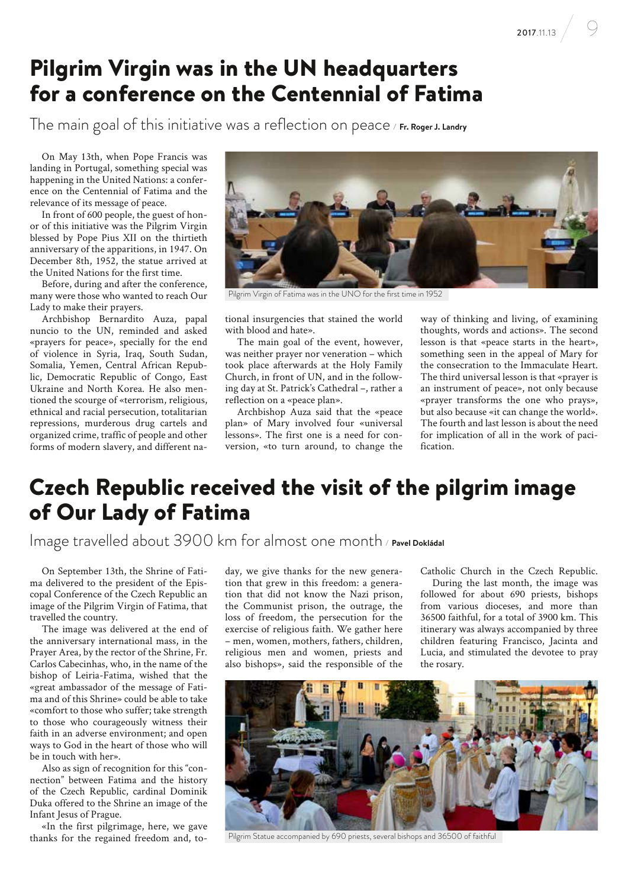# Pilgrim Virgin was in the UN headquarters for a conference on the Centennial of Fatima

The main goal of this initiative was a reflection on peace */* **Fr. Roger J. Landry**

On May 13th, when Pope Francis was landing in Portugal, something special was happening in the United Nations: a conference on the Centennial of Fatima and the relevance of its message of peace.

In front of 600 people, the guest of honor of this initiative was the Pilgrim Virgin blessed by Pope Pius XII on the thirtieth anniversary of the apparitions, in 1947. On December 8th, 1952, the statue arrived at the United Nations for the first time.

Before, during and after the conference, many were those who wanted to reach Our Lady to make their prayers.

Archbishop Bernardito Auza, papal nuncio to the UN, reminded and asked «prayers for peace», specially for the end of violence in Syria, Iraq, South Sudan, Somalia, Yemen, Central African Republic, Democratic Republic of Congo, East Ukraine and North Korea. He also mentioned the scourge of «terrorism, religious, ethnical and racial persecution, totalitarian repressions, murderous drug cartels and organized crime, traffic of people and other forms of modern slavery, and different na-



Pilgrim Virgin of Fatima was in the UNO for the first time in 1952

tional insurgencies that stained the world with blood and hate».

The main goal of the event, however, was neither prayer nor veneration – which took place afterwards at the Holy Family Church, in front of UN, and in the following day at St. Patrick's Cathedral –, rather a reflection on a «peace plan».

Archbishop Auza said that the «peace plan» of Mary involved four «universal lessons». The first one is a need for conversion, «to turn around, to change the

way of thinking and living, of examining thoughts, words and actions». The second lesson is that «peace starts in the heart», something seen in the appeal of Mary for the consecration to the Immaculate Heart. The third universal lesson is that «prayer is an instrument of peace», not only because «prayer transforms the one who prays», but also because «it can change the world». The fourth and last lesson is about the need for implication of all in the work of pacification.

#### Czech Republic received the visit of the pilgrim image of Our Lady of Fatima

Image travelled about 3900 km for almost one month */* **Pavel Dokládal**

On September 13th, the Shrine of Fatima delivered to the president of the Episcopal Conference of the Czech Republic an image of the Pilgrim Virgin of Fatima, that travelled the country.

The image was delivered at the end of the anniversary international mass, in the Prayer Area, by the rector of the Shrine, Fr. Carlos Cabecinhas, who, in the name of the bishop of Leiria-Fatima, wished that the «great ambassador of the message of Fatima and of this Shrine» could be able to take «comfort to those who suffer; take strength to those who courageously witness their faith in an adverse environment; and open ways to God in the heart of those who will be in touch with her».

Also as sign of recognition for this "connection" between Fatima and the history of the Czech Republic, cardinal Dominik Duka offered to the Shrine an image of the Infant Jesus of Prague.

«In the first pilgrimage, here, we gave thanks for the regained freedom and, today, we give thanks for the new generation that grew in this freedom: a generation that did not know the Nazi prison, the Communist prison, the outrage, the loss of freedom, the persecution for the exercise of religious faith. We gather here – men, women, mothers, fathers, children, religious men and women, priests and also bishops», said the responsible of the

Catholic Church in the Czech Republic.

During the last month, the image was followed for about 690 priests, bishops from various dioceses, and more than 36500 faithful, for a total of 3900 km. This itinerary was always accompanied by three children featuring Francisco, Jacinta and Lucia, and stimulated the devotee to pray the rosary.



Pilgrim Statue accompanied by 690 priests, several bishops and 36500 of faithful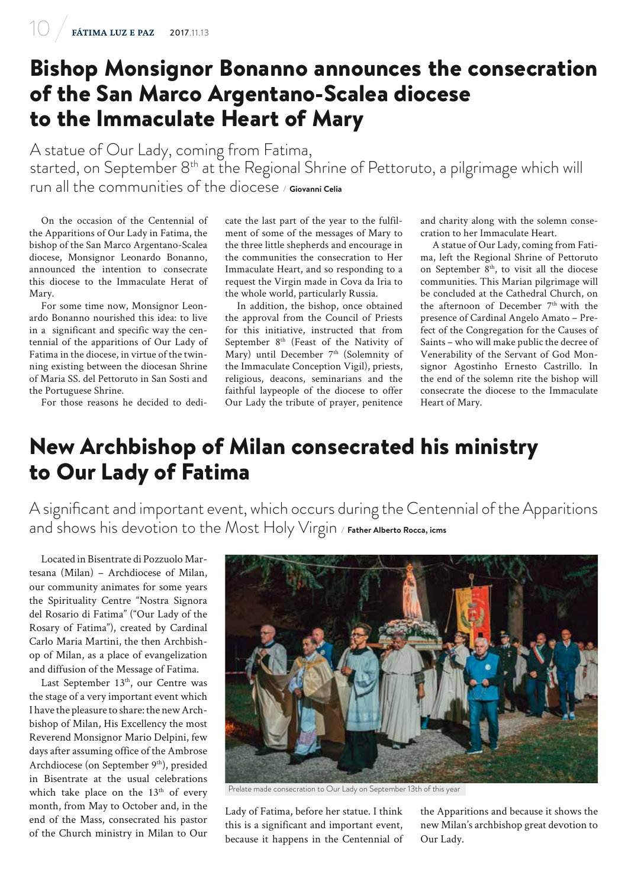### Bishop Monsignor Bonanno announces the consecration of the San Marco Argentano-Scalea diocese to the Immaculate Heart of Mary

A statue of Our Lady, coming from Fatima, started, on September 8th at the Regional Shrine of Pettoruto, a pilgrimage which will run all the communities of the diocese */* **Giovanni Celia**

On the occasion of the Centennial of the Apparitions of Our Lady in Fatima, the bishop of the San Marco Argentano-Scalea diocese, Monsignor Leonardo Bonanno, announced the intention to consecrate this diocese to the Immaculate Herat of Mary.

For some time now, Monsignor Leonardo Bonanno nourished this idea: to live in a significant and specific way the centennial of the apparitions of Our Lady of Fatima in the diocese, in virtue of the twinning existing between the diocesan Shrine of Maria SS. del Pettoruto in San Sosti and the Portuguese Shrine.

For those reasons he decided to dedi-

cate the last part of the year to the fulfilment of some of the messages of Mary to the three little shepherds and encourage in the communities the consecration to Her Immaculate Heart, and so responding to a request the Virgin made in Cova da Iria to the whole world, particularly Russia.

In addition, the bishop, once obtained the approval from the Council of Priests for this initiative, instructed that from September 8<sup>th</sup> (Feast of the Nativity of Mary) until December 7<sup>th</sup> (Solemnity of the Immaculate Conception Vigil), priests, religious, deacons, seminarians and the faithful laypeople of the diocese to offer Our Lady the tribute of prayer, penitence

and charity along with the solemn consecration to her Immaculate Heart.

A statue of Our Lady, coming from Fatima, left the Regional Shrine of Pettoruto on September 8<sup>th</sup>, to visit all the diocese communities. This Marian pilgrimage will be concluded at the Cathedral Church, on the afternoon of December  $7<sup>th</sup>$  with the presence of Cardinal Angelo Amato – Prefect of the Congregation for the Causes of Saints – who will make public the decree of Venerability of the Servant of God Monsignor Agostinho Ernesto Castrillo. In the end of the solemn rite the bishop will consecrate the diocese to the Immaculate Heart of Mary.

## New Archbishop of Milan consecrated his ministry to Our Lady of Fatima

A significant and important event, which occurs during the Centennial of the Apparitions and shows his devotion to the Most Holy Virgin */* **Father Alberto Rocca, icms**

Located in Bisentrate di Pozzuolo Martesana (Milan) – Archdiocese of Milan, our community animates for some years the Spirituality Centre "Nostra Signora del Rosario di Fatima" ("Our Lady of the Rosary of Fatima"), created by Cardinal Carlo Maria Martini, the then Archbishop of Milan, as a place of evangelization and diffusion of the Message of Fatima.

Last September 13<sup>th</sup>, our Centre was the stage of a very important event which I have the pleasure to share: the new Archbishop of Milan, His Excellency the most Reverend Monsignor Mario Delpini, few days after assuming office of the Ambrose Archdiocese (on September 9<sup>th</sup>), presided in Bisentrate at the usual celebrations which take place on the 13<sup>th</sup> of every month, from May to October and, in the end of the Mass, consecrated his pastor of the Church ministry in Milan to Our



Prelate made consecration to Our Lady on September 13th of this year

Lady of Fatima, before her statue. I think this is a significant and important event, because it happens in the Centennial of

the Apparitions and because it shows the new Milan's archbishop great devotion to Our Lady.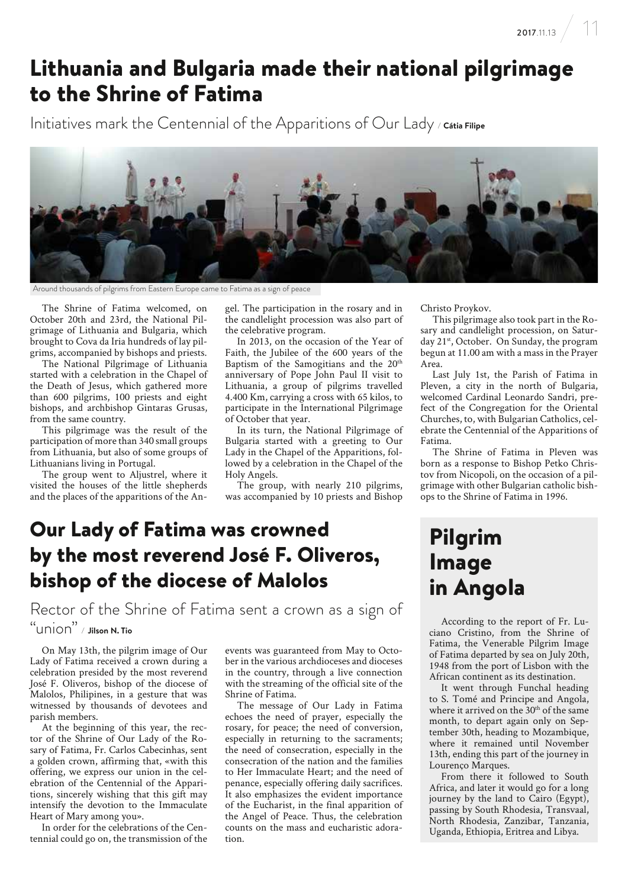# Lithuania and Bulgaria made their national pilgrimage to the Shrine of Fatima

Initiatives mark the Centennial of the Apparitions of Our Lady */* **Cátia Filipe**



Around thousands of pilgrims from Eastern Europe came to Fatima as a sign of peace

The Shrine of Fatima welcomed, on October 20th and 23rd, the National Pilgrimage of Lithuania and Bulgaria, which brought to Cova da Iria hundreds of lay pilgrims, accompanied by bishops and priests.

The National Pilgrimage of Lithuania started with a celebration in the Chapel of the Death of Jesus, which gathered more than 600 pilgrims, 100 priests and eight bishops, and archbishop Gintaras Grusas, from the same country.

This pilgrimage was the result of the participation of more than 340 small groups from Lithuania, but also of some groups of Lithuanians living in Portugal.

The group went to Aljustrel, where it visited the houses of the little shepherds and the places of the apparitions of the Angel. The participation in the rosary and in the candlelight procession was also part of the celebrative program.

In 2013, on the occasion of the Year of Faith, the Jubilee of the 600 years of the Baptism of the Samogitians and the 20<sup>th</sup> anniversary of Pope John Paul II visit to Lithuania, a group of pilgrims travelled 4.400 Km, carrying a cross with 65 kilos, to participate in the International Pilgrimage of October that year.

In its turn, the National Pilgrimage of Bulgaria started with a greeting to Our Lady in the Chapel of the Apparitions, followed by a celebration in the Chapel of the Holy Angels.

The group, with nearly 210 pilgrims, was accompanied by 10 priests and Bishop

#### Our Lady of Fatima was crowned by the most reverend José F. Oliveros, bishop of the diocese of Malolos

Rector of the Shrine of Fatima sent a crown as a sign of "union" */* **Jilson N. Tio**

On May 13th, the pilgrim image of Our Lady of Fatima received a crown during a celebration presided by the most reverend José F. Oliveros, bishop of the diocese of Malolos, Philipines, in a gesture that was witnessed by thousands of devotees and parish members.

At the beginning of this year, the rector of the Shrine of Our Lady of the Rosary of Fatima, Fr. Carlos Cabecinhas, sent a golden crown, affirming that, «with this offering, we express our union in the celebration of the Centennial of the Apparitions, sincerely wishing that this gift may intensify the devotion to the Immaculate Heart of Mary among you».

In order for the celebrations of the Centennial could go on, the transmission of the events was guaranteed from May to October in the various archdioceses and dioceses in the country, through a live connection with the streaming of the official site of the Shrine of Fatima.

The message of Our Lady in Fatima echoes the need of prayer, especially the rosary, for peace; the need of conversion, especially in returning to the sacraments; the need of consecration, especially in the consecration of the nation and the families to Her Immaculate Heart; and the need of penance, especially offering daily sacrifices. It also emphasizes the evident importance of the Eucharist, in the final apparition of the Angel of Peace. Thus, the celebration counts on the mass and eucharistic adoration.

Christo Proykov.

This pilgrimage also took part in the Rosary and candlelight procession, on Saturday 21<sup>st</sup>, October. On Sunday, the program begun at 11.00 am with a mass in the Prayer Area.

Last July 1st, the Parish of Fatima in Pleven, a city in the north of Bulgaria, welcomed Cardinal Leonardo Sandri, prefect of the Congregation for the Oriental Churches, to, with Bulgarian Catholics, celebrate the Centennial of the Apparitions of Fatima.

The Shrine of Fatima in Pleven was born as a response to Bishop Petko Christov from Nicopoli, on the occasion of a pilgrimage with other Bulgarian catholic bishops to the Shrine of Fatima in 1996.

# Pilgrim Image in Angola

According to the report of Fr. Luciano Cristino, from the Shrine of Fatima, the Venerable Pilgrim Image of Fatima departed by sea on July 20th, 1948 from the port of Lisbon with the African continent as its destination.

It went through Funchal heading to S. Tomé and Principe and Angola, where it arrived on the 30<sup>th</sup> of the same month, to depart again only on September 30th, heading to Mozambique, where it remained until November 13th, ending this part of the journey in Lourenço Marques.

From there it followed to South Africa, and later it would go for a long journey by the land to Cairo (Egypt), passing by South Rhodesia, Transvaal, North Rhodesia, Zanzibar, Tanzania, Uganda, Ethiopia, Eritrea and Libya.